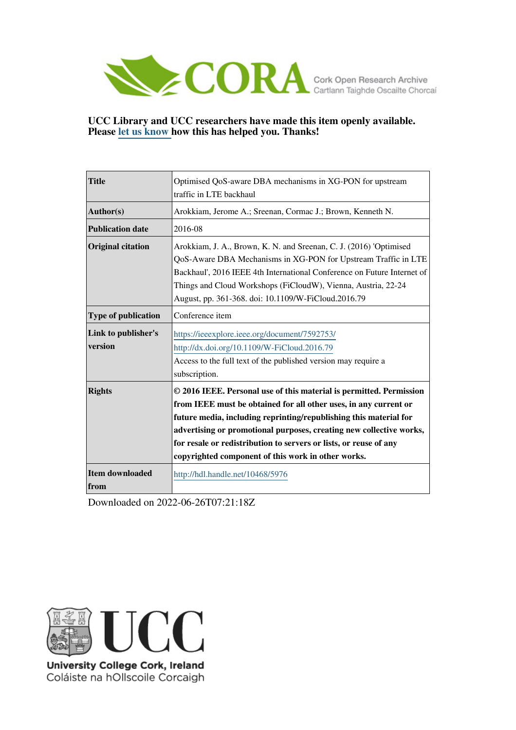

# **UCC Library and UCC researchers have made this item openly available. Please [let us know h](https://libguides.ucc.ie/openaccess/impact?suffix=5976&title=Optimised QoS-aware DBA mechanisms in XG-PON for upstream traffic in LTE backhaul)ow this has helped you. Thanks!**

| <b>Title</b>                   | Optimised QoS-aware DBA mechanisms in XG-PON for upstream                                                                                                                                                                                                                                                                                                                                                      |  |  |
|--------------------------------|----------------------------------------------------------------------------------------------------------------------------------------------------------------------------------------------------------------------------------------------------------------------------------------------------------------------------------------------------------------------------------------------------------------|--|--|
|                                | traffic in LTE backhaul                                                                                                                                                                                                                                                                                                                                                                                        |  |  |
| Author(s)                      | Arokkiam, Jerome A.; Sreenan, Cormac J.; Brown, Kenneth N.                                                                                                                                                                                                                                                                                                                                                     |  |  |
| <b>Publication date</b>        | 2016-08                                                                                                                                                                                                                                                                                                                                                                                                        |  |  |
| <b>Original citation</b>       | Arokkiam, J. A., Brown, K. N. and Sreenan, C. J. (2016) 'Optimised<br>QoS-Aware DBA Mechanisms in XG-PON for Upstream Traffic in LTE<br>Backhaul', 2016 IEEE 4th International Conference on Future Internet of<br>Things and Cloud Workshops (FiCloudW), Vienna, Austria, 22-24<br>August, pp. 361-368. doi: 10.1109/W-FiCloud.2016.79                                                                        |  |  |
| <b>Type of publication</b>     | Conference item                                                                                                                                                                                                                                                                                                                                                                                                |  |  |
| Link to publisher's<br>version | https://ieeexplore.ieee.org/document/7592753/<br>http://dx.doi.org/10.1109/W-FiCloud.2016.79<br>Access to the full text of the published version may require a<br>subscription.                                                                                                                                                                                                                                |  |  |
| <b>Rights</b>                  | © 2016 IEEE. Personal use of this material is permitted. Permission<br>from IEEE must be obtained for all other uses, in any current or<br>future media, including reprinting/republishing this material for<br>advertising or promotional purposes, creating new collective works,<br>for resale or redistribution to servers or lists, or reuse of any<br>copyrighted component of this work in other works. |  |  |
| <b>Item downloaded</b><br>from | http://hdl.handle.net/10468/5976                                                                                                                                                                                                                                                                                                                                                                               |  |  |

Downloaded on 2022-06-26T07:21:18Z



University College Cork, Ireland Coláiste na hOllscoile Corcaigh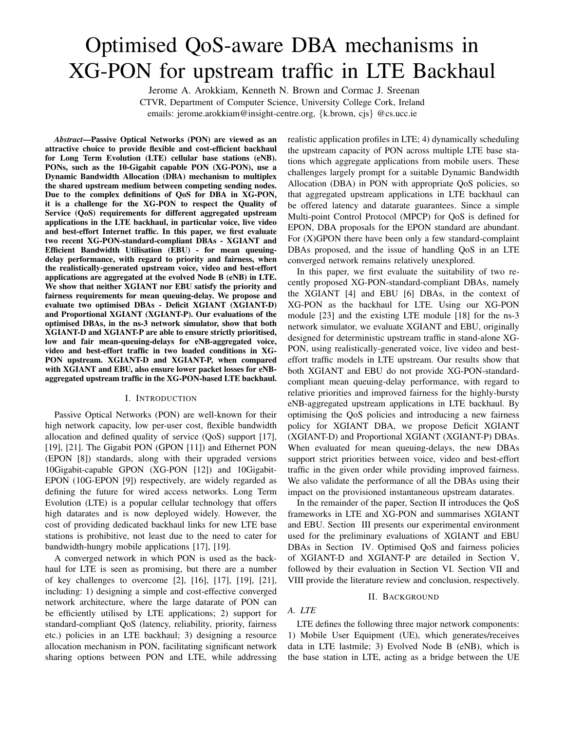# Optimised QoS-aware DBA mechanisms in XG-PON for upstream traffic in LTE Backhaul

Jerome A. Arokkiam, Kenneth N. Brown and Cormac J. Sreenan CTVR, Department of Computer Science, University College Cork, Ireland emails: jerome.arokkiam@insight-centre.org, {k.brown, cjs} @cs.ucc.ie

*Abstract*—Passive Optical Networks (PON) are viewed as an attractive choice to provide flexible and cost-efficient backhaul for Long Term Evolution (LTE) cellular base stations (eNB). PONs, such as the 10-Gigabit capable PON (XG-PON), use a Dynamic Bandwidth Allocation (DBA) mechanism to multiplex the shared upstream medium between competing sending nodes. Due to the complex definitions of QoS for DBA in XG-PON, it is a challenge for the XG-PON to respect the Quality of Service (QoS) requirements for different aggregated upstream applications in the LTE backhaul, in particular voice, live video and best-effort Internet traffic. In this paper, we first evaluate two recent XG-PON-standard-compliant DBAs - XGIANT and Efficient Bandwidth Utilisation (EBU) - for mean queuingdelay performance, with regard to priority and fairness, when the realistically-generated upstream voice, video and best-effort applications are aggregated at the evolved Node B (eNB) in LTE. We show that neither XGIANT nor EBU satisfy the priority and fairness requirements for mean queuing-delay. We propose and evaluate two optimised DBAs - Deficit XGIANT (XGIANT-D) and Proportional XGIANT (XGIANT-P). Our evaluations of the optimised DBAs, in the ns-3 network simulator, show that both XGIANT-D and XGIANT-P are able to ensure strictly prioritised, low and fair mean-queuing-delays for eNB-aggregated voice, video and best-effort traffic in two loaded conditions in XG-PON upstream. XGIANT-D and XGIANT-P, when compared with XGIANT and EBU, also ensure lower packet losses for eNBaggregated upstream traffic in the XG-PON-based LTE backhaul.

#### I. INTRODUCTION

Passive Optical Networks (PON) are well-known for their high network capacity, low per-user cost, flexible bandwidth allocation and defined quality of service (QoS) support [17], [19], [21]. The Gigabit PON (GPON [11]) and Ethernet PON (EPON [8]) standards, along with their upgraded versions 10Gigabit-capable GPON (XG-PON [12]) and 10Gigabit-EPON (10G-EPON [9]) respectively, are widely regarded as defining the future for wired access networks. Long Term Evolution (LTE) is a popular cellular technology that offers high datarates and is now deployed widely. However, the cost of providing dedicated backhaul links for new LTE base stations is prohibitive, not least due to the need to cater for bandwidth-hungry mobile applications [17], [19].

A converged network in which PON is used as the backhaul for LTE is seen as promising, but there are a number of key challenges to overcome [2], [16], [17], [19], [21], including: 1) designing a simple and cost-effective converged network architecture, where the large datarate of PON can be efficiently utilised by LTE applications; 2) support for standard-compliant QoS (latency, reliability, priority, fairness etc.) policies in an LTE backhaul; 3) designing a resource allocation mechanism in PON, facilitating significant network sharing options between PON and LTE, while addressing realistic application profiles in LTE; 4) dynamically scheduling the upstream capacity of PON across multiple LTE base stations which aggregate applications from mobile users. These challenges largely prompt for a suitable Dynamic Bandwidth Allocation (DBA) in PON with appropriate QoS policies, so that aggregated upstream applications in LTE backhaul can be offered latency and datarate guarantees. Since a simple Multi-point Control Protocol (MPCP) for QoS is defined for EPON, DBA proposals for the EPON standard are abundant. For (X)GPON there have been only a few standard-complaint DBAs proposed, and the issue of handling QoS in an LTE converged network remains relatively unexplored.

In this paper, we first evaluate the suitability of two recently proposed XG-PON-standard-compliant DBAs, namely the XGIANT [4] and EBU [6] DBAs, in the context of XG-PON as the backhaul for LTE. Using our XG-PON module [23] and the existing LTE module [18] for the ns-3 network simulator, we evaluate XGIANT and EBU, originally designed for deterministic upstream traffic in stand-alone XG-PON, using realistically-generated voice, live video and besteffort traffic models in LTE upstream. Our results show that both XGIANT and EBU do not provide XG-PON-standardcompliant mean queuing-delay performance, with regard to relative priorities and improved fairness for the highly-bursty eNB-aggregated upstream applications in LTE backhaul. By optimising the QoS policies and introducing a new fairness policy for XGIANT DBA, we propose Deficit XGIANT (XGIANT-D) and Proportional XGIANT (XGIANT-P) DBAs. When evaluated for mean queuing-delays, the new DBAs support strict priorities between voice, video and best-effort traffic in the given order while providing improved fairness. We also validate the performance of all the DBAs using their impact on the provisioned instantaneous upstream datarates.

In the remainder of the paper, Section II introduces the QoS frameworks in LTE and XG-PON and summarises XGIANT and EBU. Section III presents our experimental environment used for the preliminary evaluations of XGIANT and EBU DBAs in Section IV. Optimised QoS and fairness policies of XGIANT-D and XGIANT-P are detailed in Section V, followed by their evaluation in Section VI. Section VII and VIII provide the literature review and conclusion, respectively.

#### II. BACKGROUND

# *A. LTE*

LTE defines the following three major network components: 1) Mobile User Equipment (UE), which generates/receives data in LTE lastmile; 3) Evolved Node B (eNB), which is the base station in LTE, acting as a bridge between the UE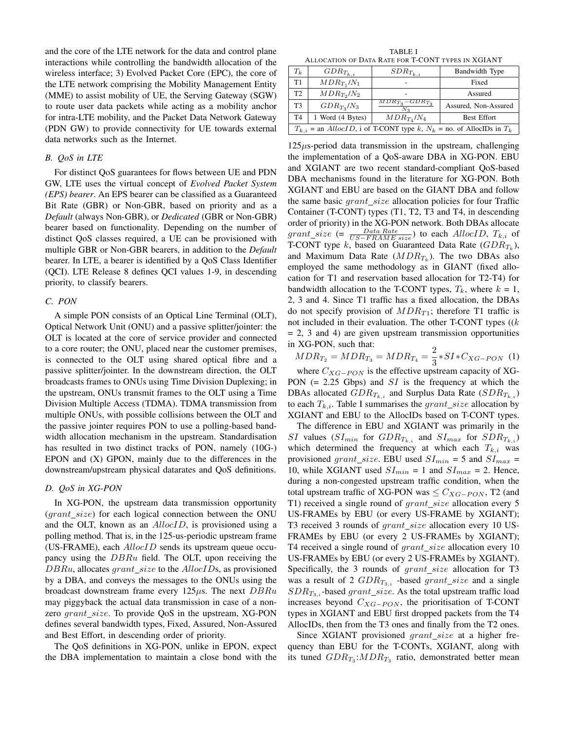and the core of the LTE network for the data and control plane interactions while controlling the bandwidth allocation of the wireless interface; 3) Evolved Packet Core (EPC), the core of the LTE network comprising the Mobility Management Entity (MME) to assist mobility of UE, the Serving Gateway (SGW) to route user data packets while acting as a mobility anchor for intra-LTE mobility, and the Packet Data Network Gateway (PDN GW) to provide connectivity for UE towards external data networks such as the Internet.

# *B. QoS in LTE*

For distinct QoS guarantees for flows between UE and PDN GW, LTE uses the virtual concept of *Evolved Packet System (EPS) bearer*. An EPS bearer can be classified as a Guaranteed Bit Rate (GBR) or Non-GBR, based on priority and as a *Default* (always Non-GBR), or *Dedicated* (GBR or Non-GBR) bearer based on functionality. Depending on the number of distinct QoS classes required, a UE can be provisioned with multiple GBR or Non-GBR bearers, in addition to the *Default* bearer. In LTE, a bearer is identified by a QoS Class Identifier (QCI). LTE Release 8 defines QCI values 1-9, in descending priority, to classify bearers.

#### *C. PON*

A simple PON consists of an Optical Line Terminal (OLT), Optical Network Unit (ONU) and a passive splitter/jointer: the OLT is located at the core of service provider and connected to a core router; the ONU, placed near the customer premises, is connected to the OLT using shared optical fibre and a passive splitter/jointer. In the downstream direction, the OLT broadcasts frames to ONUs using Time Division Duplexing; in the upstream, ONUs transmit frames to the OLT using a Time Division Multiple Access (TDMA). TDMA transmission from multiple ONUs, with possible collisions between the OLT and the passive jointer requires PON to use a polling-based bandwidth allocation mechanism in the upstream. Standardisation has resulted in two distinct tracks of PON, namely (10G-) EPON and (X) GPON, mainly due to the differences in the downstream/upstream physical datarates and QoS definitions.

#### *D. QoS in XG-PON*

In XG-PON, the upstream data transmission opportunity  $(grant\_size)$  for each logical connection between the ONU and the OLT, known as an AllocID, is provisioned using a polling method. That is, in the 125-us-periodic upstream frame (US-FRAME), each  $\text{AllocID}$  sends its upstream queue occupancy using the  $DBRu$  field. The OLT, upon receiving the  $DBRu$ , allocates *grant* size to the  $AllocIDs$ , as provisioned by a DBA, and conveys the messages to the ONUs using the broadcast downstream frame every 125 $\mu$ s. The next DBRu may piggyback the actual data transmission in case of a nonzero  $grant\_size$ . To provide QoS in the upstream, XG-PON defines several bandwidth types, Fixed, Assured, Non-Assured and Best Effort, in descending order of priority.

The QoS definitions in XG-PON, unlike in EPON, expect the DBA implementation to maintain a close bond with the

TABLE I ALLOCATION OF DATA RATE FOR T-CONT TYPES IN XGIANT

| $T_k$                                                                                | $GDR_{T_{k,i}}$  | $SDR_{T_{k,i}}$                  | Bandwidth Type       |  |
|--------------------------------------------------------------------------------------|------------------|----------------------------------|----------------------|--|
| T1                                                                                   | $MDR_{T_1}/N_1$  |                                  | Fixed                |  |
| T <sub>2</sub>                                                                       | $MDR_{T_2}/N_2$  |                                  | Assured              |  |
| T3                                                                                   | $GDR_{T_2}/N_3$  | $MDR_{T_2}-GDR_{T_3}$<br>$N_{2}$ | Assured, Non-Assured |  |
| T <sub>4</sub>                                                                       | 1 Word (4 Bytes) | $MDR_{T_4}/N_4$                  | <b>Best Effort</b>   |  |
| $T_{k,i}$ = an <i>AllocID</i> , i of T-CONT type k, $N_k$ = no. of AllocIDs in $T_k$ |                  |                                  |                      |  |

 $125\mu s$ -period data transmission in the upstream, challenging the implementation of a QoS-aware DBA in XG-PON. EBU and XGIANT are two recent standard-compliant QoS-based DBA mechanisms found in the literature for XG-PON. Both XGIANT and EBU are based on the GIANT DBA and follow the same basic  $grant\_size$  allocation policies for four Traffic Container (T-CONT) types (T1, T2, T3 and T4, in descending order of priority) in the XG-PON network. Both DBAs allocate  $grant\_size$  (=  $\frac{Data Rate}{US-FRAME size}$ ) to each  $AllocID$ ,  $T_{k,i}$  of T-CONT type k, based on Guaranteed Data Rate  $(GDR_{T_k})$ , and Maximum Data Rate  $(MDR_{T_k})$ . The two DBAs also employed the same methodology as in GIANT (fixed allocation for T1 and reservation based allocation for T2-T4) for bandwidth allocation to the T-CONT types,  $T_k$ , where  $k = 1$ , 2, 3 and 4. Since T1 traffic has a fixed allocation, the DBAs do not specify provision of  $MDR_{T1}$ ; therefore T1 traffic is not included in their evaluation. The other T-CONT types  $((k)$  $= 2$ , 3 and 4) are given upstream transmission opportunities in XG-PON, such that:

 $MDR_{T_2} = MDR_{T_3} = MDR_{T_4} = \frac{2}{9}$  $\frac{2}{3} * SI * C_{XG-PON}$  (1)

where  $C_{XG-PON}$  is the effective upstream capacity of XG-PON  $(= 2.25 \text{ Gbps})$  and  $SI$  is the frequency at which the DBAs allocated  $GDR_{T_{k,i}}$  and Surplus Data Rate  $(SDR_{T_{k,i}})$ to each  $T_{k,i}$ . Table I summarises the grant\_size allocation by XGIANT and EBU to the AllocIDs based on T-CONT types.

The difference in EBU and XGIANT was primarily in the SI values ( $SI_{min}$  for  $GDR_{T_{k,i}}$  and  $SI_{max}$  for  $SDR_{T_{k,i}}$ ) which determined the frequency at which each  $T_{k,i}$  was provisioned grant\_size. EBU used  $SI_{min} = 5$  and  $SI_{max} =$ 10, while XGIANT used  $SI_{min} = 1$  and  $SI_{max} = 2$ . Hence, during a non-congested upstream traffic condition, when the total upstream traffic of XG-PON was  $\leq C_{XG-PON}$ , T2 (and T1) received a single round of grant size allocation every 5 US-FRAMEs by EBU (or every US-FRAME by XGIANT); T3 received 3 rounds of  $grant\_size$  allocation every 10 US-FRAMEs by EBU (or every 2 US-FRAMEs by XGIANT); T4 received a single round of grant size allocation every 10 US-FRAMEs by EBU (or every 2 US-FRAMEs by XGIANT). Specifically, the 3 rounds of  $grant\_size$  allocation for T3 was a result of 2  $GDR_{T_{3,i}}$  -based grant\_size and a single  $SDR_{T_{3,i}}$ -based grant\_size. As the total upstream traffic load increases beyond  $C_{XG-PON}$ , the prioritisation of T-CONT types in XGIANT and EBU first dropped packets from the T4 AllocIDs, then from the T3 ones and finally from the T2 ones.

Since XGIANT provisioned  $grant\_size$  at a higher frequency than EBU for the T-CONTs, XGIANT, along with its tuned  $GDR_{T_3}$ : $MDR_{T_3}$  ratio, demonstrated better mean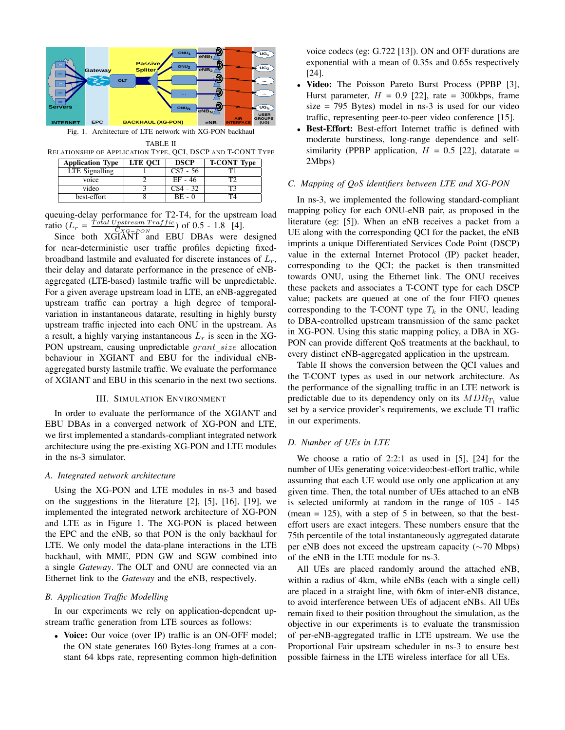

Fig. 1. Architecture of LTE network with XG-PON backhaul

TABLE II RELATIONSHIP OF APPLICATION TYPE, QCI, DSCP AND T-CONT TYPE

| <b>Application Type</b> | <b>LTE OCI</b> | <b>DSCP</b> | <b>T-CONT Type</b> |
|-------------------------|----------------|-------------|--------------------|
| LTE Signalling          |                | $CS7 - 56$  |                    |
| voice                   |                | EF - 46     | T?                 |
| video                   |                | $CS4 - 32$  | ፐን                 |
| best-effort             |                | $BE - 0$    | T4                 |

queuing-delay performance for T2-T4, for the upstream load ratio  $(L_r = \frac{T \text{ of all } U \text{ pattern } Traffic}{C \text{ YC} - \text{EON}})$  of 0.5 - 1.8 [4].

Since both XGIANT and EBU DBAs were designed for near-deterministic user traffic profiles depicting fixedbroadband lastmile and evaluated for discrete instances of  $L_r$ , their delay and datarate performance in the presence of eNBaggregated (LTE-based) lastmile traffic will be unpredictable. For a given average upstream load in LTE, an eNB-aggregated upstream traffic can portray a high degree of temporalvariation in instantaneous datarate, resulting in highly bursty upstream traffic injected into each ONU in the upstream. As a result, a highly varying instantaneous  $L<sub>r</sub>$  is seen in the XG-PON upstream, causing unpredictable *grant\_size* allocation behaviour in XGIANT and EBU for the individual eNBaggregated bursty lastmile traffic. We evaluate the performance of XGIANT and EBU in this scenario in the next two sections.

#### III. SIMULATION ENVIRONMENT

In order to evaluate the performance of the XGIANT and EBU DBAs in a converged network of XG-PON and LTE, we first implemented a standards-compliant integrated network architecture using the pre-existing XG-PON and LTE modules in the ns-3 simulator.

#### *A. Integrated network architecture*

Using the XG-PON and LTE modules in ns-3 and based on the suggestions in the literature [2], [5], [16], [19], we implemented the integrated network architecture of XG-PON and LTE as in Figure 1. The XG-PON is placed between the EPC and the eNB, so that PON is the only backhaul for LTE. We only model the data-plane interactions in the LTE backhaul, with MME, PDN GW and SGW combined into a single *Gateway*. The OLT and ONU are connected via an Ethernet link to the *Gateway* and the eNB, respectively.

# *B. Application Traffic Modelling*

In our experiments we rely on application-dependent upstream traffic generation from LTE sources as follows:

• Voice: Our voice (over IP) traffic is an ON-OFF model: the ON state generates 160 Bytes-long frames at a constant 64 kbps rate, representing common high-definition voice codecs (eg: G.722 [13]). ON and OFF durations are exponential with a mean of 0.35s and 0.65s respectively [24].

- Video: The Poisson Pareto Burst Process (PPBP [3], Hurst parameter,  $H = 0.9$  [22], rate = 300kbps, frame  $size = 795$  Bytes) model in ns-3 is used for our video traffic, representing peer-to-peer video conference [15].
- Best-Effort: Best-effort Internet traffic is defined with moderate burstiness, long-range dependence and selfsimilarity (PPBP application,  $H = 0.5$  [22], datarate = 2Mbps)

# *C. Mapping of QoS identifiers between LTE and XG-PON*

In ns-3, we implemented the following standard-compliant mapping policy for each ONU-eNB pair, as proposed in the literature (eg: [5]). When an eNB receives a packet from a UE along with the corresponding QCI for the packet, the eNB imprints a unique Differentiated Services Code Point (DSCP) value in the external Internet Protocol (IP) packet header, corresponding to the QCI; the packet is then transmitted towards ONU, using the Ethernet link. The ONU receives these packets and associates a T-CONT type for each DSCP value; packets are queued at one of the four FIFO queues corresponding to the T-CONT type  $T_k$  in the ONU, leading to DBA-controlled upstream transmission of the same packet in XG-PON. Using this static mapping policy, a DBA in XG-PON can provide different QoS treatments at the backhaul, to every distinct eNB-aggregated application in the upstream.

Table II shows the conversion between the QCI values and the T-CONT types as used in our network architecture. As the performance of the signalling traffic in an LTE network is predictable due to its dependency only on its  $MDR_{T_1}$  value set by a service provider's requirements, we exclude T1 traffic in our experiments.

# *D. Number of UEs in LTE*

We choose a ratio of 2:2:1 as used in [5], [24] for the number of UEs generating voice:video:best-effort traffic, while assuming that each UE would use only one application at any given time. Then, the total number of UEs attached to an eNB is selected uniformly at random in the range of 105 - 145 (mean  $= 125$ ), with a step of 5 in between, so that the besteffort users are exact integers. These numbers ensure that the 75th percentile of the total instantaneously aggregated datarate per eNB does not exceed the upstream capacity (∼70 Mbps) of the eNB in the LTE module for ns-3.

All UEs are placed randomly around the attached eNB, within a radius of 4km, while eNBs (each with a single cell) are placed in a straight line, with 6km of inter-eNB distance, to avoid interference between UEs of adjacent eNBs. All UEs remain fixed to their position throughout the simulation, as the objective in our experiments is to evaluate the transmission of per-eNB-aggregated traffic in LTE upstream. We use the Proportional Fair upstream scheduler in ns-3 to ensure best possible fairness in the LTE wireless interface for all UEs.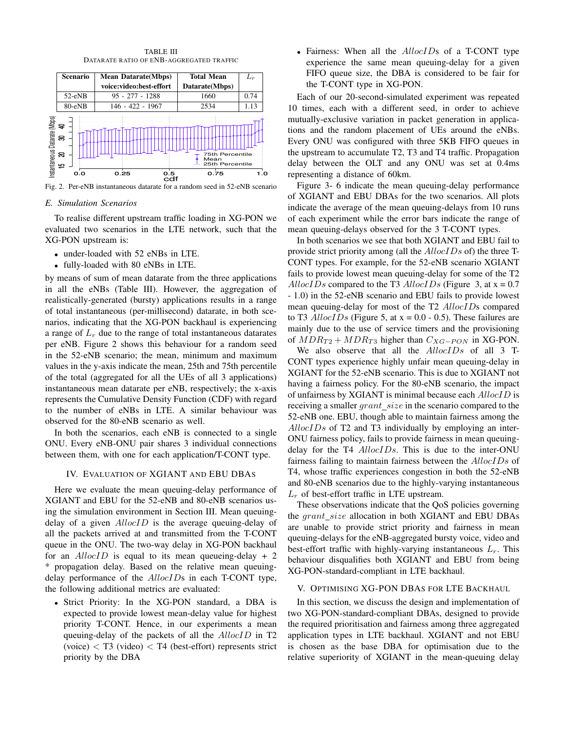

TABLE III

Fig. 2. Per-eNB instantaneous datarate for a random seed in 52-eNB scenario

#### *E. Simulation Scenarios*

XG-PON upstream is: Simi<br>`o re<br>luate ig.<br>E.<br>T<br>KG<br>KG cd<br>Carl To realise different upstream traffic loading in XG-PON we evaluated two scenarios in the LTE network, such that the

- under-loaded with 52 eNBs in LTE.
- fully-loaded with 80 eNBs in LTE.

by means of sum of mean datarate from the three applications in all the eNBs (Table III). However, the aggregation of realistically-generated (bursty) applications results in a range of total instantaneous (per-millisecond) datarate, in both scenarios, indicating that the XG-PON backhaul is experiencing a range of  $L_r$  due to the range of total instantaneous datarates per eNB. Figure 2 shows this behaviour for a random seed in the 52-eNB scenario; the mean, minimum and maximum values in the y-axis indicate the mean, 25th and 75th percentile of the total (aggregated for all the UEs of all 3 applications) instantaneous mean datarate per eNB, respectively; the x-axis represents the Cumulative Density Function (CDF) with regard to the number of eNBs in LTE. A similar behaviour was observed for the 80-eNB scenario as well.

In both the scenarios, each eNB is connected to a single ONU. Every eNB-ONU pair shares 3 individual connections between them, with one for each application/T-CONT type.

#### IV. EVALUATION OF XGIANT AND EBU DBAS

Here we evaluate the mean queuing-delay performance of XGIANT and EBU for the 52-eNB and 80-eNB scenarios using the simulation environment in Section III. Mean queuingdelay of a given  $\mathcal{A}llocID$  is the average queuing-delay of all the packets arrived at and transmitted from the T-CONT queue in the ONU. The two-way delay in XG-PON backhaul for an  $\text{AllocID}$  is equal to its mean queueing-delay + 2 \* propagation delay. Based on the relative mean queuingdelay performance of the *AllocIDs* in each T-CONT type, the following additional metrics are evaluated:

• Strict Priority: In the XG-PON standard, a DBA is expected to provide lowest mean-delay value for highest priority T-CONT. Hence, in our experiments a mean queuing-delay of the packets of all the *AllocID* in T2  $(voice) < T3$  (video)  $< T4$  (best-effort) represents strict priority by the DBA

• Fairness: When all the *AllocIDs* of a T-CONT type experience the same mean queuing-delay for a given FIFO queue size, the DBA is considered to be fair for the T-CONT type in XG-PON.

Each of our 20-second-simulated experiment was repeated 10 times, each with a different seed, in order to achieve mutually-exclusive variation in packet generation in applications and the random placement of UEs around the eNBs. Every ONU was configured with three 5KB FIFO queues in the upstream to accumulate T2, T3 and T4 traffic. Propagation delay between the OLT and any ONU was set at 0.4ms representing a distance of 60km.

Figure 3- 6 indicate the mean queuing-delay performance of XGIANT and EBU DBAs for the two scenarios. All plots indicate the average of the mean queuing-delays from 10 runs of each experiment while the error bars indicate the range of mean queuing-delays observed for the 3 T-CONT types.

In both scenarios we see that both XGIANT and EBU fail to provide strict priority among (all the AllocIDs of) the three T-CONT types. For example, for the 52-eNB scenario XGIANT fails to provide lowest mean queuing-delay for some of the T2 AllocIDs compared to the T3 AllocIDs (Figure 3, at  $x = 0.7$ ) - 1.0) in the 52-eNB scenario and EBU fails to provide lowest mean queuing-delay for most of the T2 AllocIDs compared to T3  $AllocIDs$  (Figure 5, at x = 0.0 - 0.5). These failures are mainly due to the use of service timers and the provisioning of  $MDR_{T2} + MDR_{T3}$  higher than  $C_{XG-PON}$  in XG-PON.

We also observe that all the AllocIDs of all 3 T-CONT types experience highly unfair mean queuing-delay in XGIANT for the 52-eNB scenario. This is due to XGIANT not having a fairness policy. For the 80-eNB scenario, the impact of unfairness by XGIANT is minimal because each AllocID is receiving a smaller *grant\_size* in the scenario compared to the 52-eNB one. EBU, though able to maintain fairness among the  $A$ lloc $IDs$  of T2 and T3 individually by employing an inter-ONU fairness policy, fails to provide fairness in mean queuingdelay for the T4 AllocIDs. This is due to the inter-ONU fairness failing to maintain fairness between the AllocIDs of T4, whose traffic experiences congestion in both the 52-eNB and 80-eNB scenarios due to the highly-varying instantaneous  $L_r$  of best-effort traffic in LTE upstream.

These observations indicate that the QoS policies governing the  $grant\_size$  allocation in both XGIANT and EBU DBAs are unable to provide strict priority and fairness in mean queuing-delays for the eNB-aggregated bursty voice, video and best-effort traffic with highly-varying instantaneous  $L_r$ . This behaviour disqualifies both XGIANT and EBU from being XG-PON-standard-compliant in LTE backhaul.

# V. OPTIMISING XG-PON DBAS FOR LTE BACKHAUL

In this section, we discuss the design and implementation of two XG-PON-standard-compliant DBAs, designed to provide the required prioritisation and fairness among three aggregated application types in LTE backhaul. XGIANT and not EBU is chosen as the base DBA for optimisation due to the relative superiority of XGIANT in the mean-queuing delay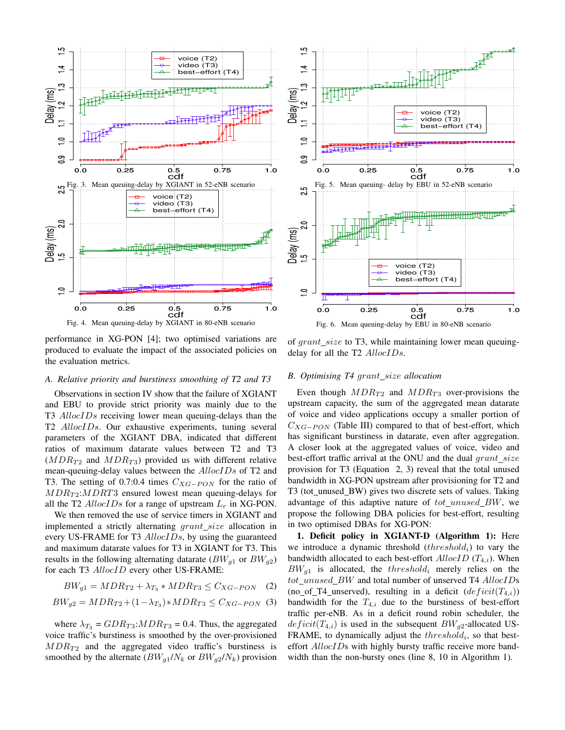



performance in XG-PON [4]; two optimised variations are produced to evaluate the impact of the associated policies on the evaluation metrics.

## *A. Relative priority and burstiness smoothing of T2 and T3*

Observations in section IV show that the failure of XGIANT and EBU to provide strict priority was mainly due to the T3 AllocIDs receiving lower mean queuing-delays than the T2 AllocIDs. Our exhaustive experiments, tuning several parameters of the XGIANT DBA, indicated that different ratios of maximum datarate values between T2 and T3  $(MDR_{T2}$  and  $MDR_{T3}$ ) provided us with different relative mean-queuing-delay values between the *AllocIDs* of T2 and T3. The setting of 0.7:0.4 times  $C_{XG-PON}$  for the ratio of  $MDR_{T2}$ :  $MDRT3$  ensured lowest mean queuing-delays for all the T2  $AllocIDs$  for a range of upstream  $L<sub>r</sub>$  in XG-PON.

We then removed the use of service timers in XGIANT and implemented a strictly alternating  $grant\_size$  allocation in every US-FRAME for T3 AllocIDs, by using the guaranteed and maximum datarate values for T3 in XGIANT for T3. This results in the following alternating datarate  $(BW_{q1}$  or  $BW_{q2})$ for each T3 AllocID every other US-FRAME:

$$
BW_{g1} = MDR_{T2} + \lambda_{T_3} * MDR_{T3} \leq C_{XG-PON} \quad (2)
$$

$$
BW_{g2} = MDR_{T2} + (1 - \lambda_{T_3}) * MDR_{T3} \leq C_{XG-PON}
$$
 (3)

where  $\lambda_{T_2} = GDR_{T_3}: MDR_{T_3} = 0.4$ . Thus, the aggregated voice traffic's burstiness is smoothed by the over-provisioned  $MDR_{T2}$  and the aggregated video traffic's burstiness is smoothed by the alternate  $(BW_{q1}/N_k$  or  $BW_{q2}/N_k)$  provision

of  $grant\_size$  to T3, while maintaining lower mean queuingdelay for all the T2 AllocIDs.

# *B. Optimising T4 grant\_size allocation*

Even though  $MDR_{T2}$  and  $MDR_{T3}$  over-provisions the upstream capacity, the sum of the aggregated mean datarate of voice and video applications occupy a smaller portion of  $C_{XG-PON}$  (Table III) compared to that of best-effort, which has significant burstiness in datarate, even after aggregation. A closer look at the aggregated values of voice, video and best-effort traffic arrival at the ONU and the dual  $grant\_size$ provision for T3 (Equation 2, 3) reveal that the total unused bandwidth in XG-PON upstream after provisioning for T2 and T3 (tot unused BW) gives two discrete sets of values. Taking advantage of this adaptive nature of  $tot\_unused\_BW$ , we propose the following DBA policies for best-effort, resulting in two optimised DBAs for XG-PON:

1. Deficit policy in XGIANT-D (Algorithm 1): Here we introduce a dynamic threshold  $(threshold<sub>i</sub>)$  to vary the bandwidth allocated to each best-effort  $\text{AllocID}$  ( $T_{4,i}$ ). When  $BW_{q1}$  is allocated, the threshold<sub>i</sub> merely relies on the  $tot\_unused\_BW$  and total number of unserved T4  $AllocIDs$ (no\_of\_T4\_unserved), resulting in a deficit  $(deficit(T_{4,i}))$ bandwidth for the  $T_{4,i}$  due to the burstiness of best-effort traffic per-eNB. As in a deficit round robin scheduler, the  $deficit(T_{4,i})$  is used in the subsequent  $BW_{a2}$ -allocated US-FRAME, to dynamically adjust the  $threshold_i$ , so that besteffort *AllocIDs* with highly bursty traffic receive more bandwidth than the non-bursty ones (line 8, 10 in Algorithm 1).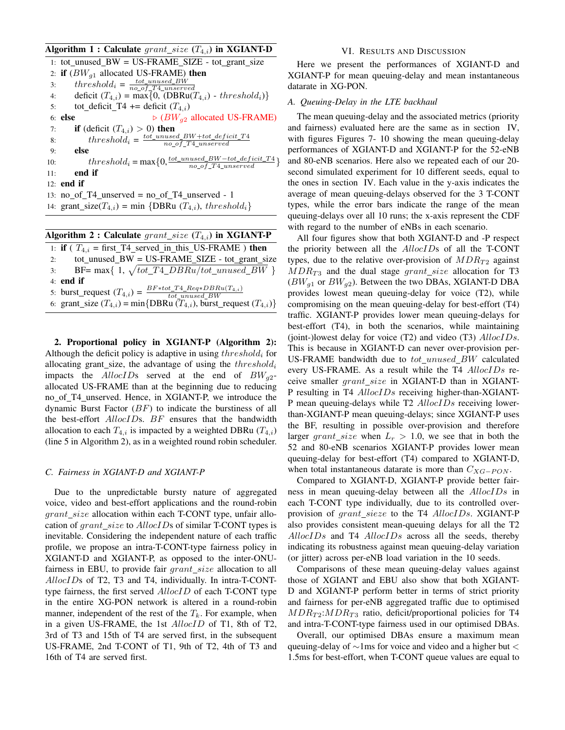# Algorithm 1 : Calculate  $grant\_size$  ( $T_{4,i}$ ) in XGIANT-D

1: tot unused  $BW = US-FRAME$  SIZE - tot grant size 2: if  $(BW_{q1}$  allocated US-FRAME) then 3:  $threshold_i = \frac{tot\_unused\_BW}{no\_of\_T4\_unserved}$ 4: deficit  $(T_{4,i}) = \max\{0, (\text{DBRu}(T_{4,i}) - threshold_i)\}\$ 5: tot\_deficit\_T4 += deficit  $(T_{4,i})$ 6: else  $\triangleright$   $(BW_{q2}$  allocated US-FRAME) 7: **if** (deficit  $(T_{4,i}) > 0$ ) then 8:  $threshold_i = \frac{tot\_unused\_BW + tot\_deficit\_T4}{no\_of\_T4\_unserved}$  $\overline{no\_of\_T4\_unserved}$ 9: else 10:  $threshold_i = \max\{0, \frac{tot\_unused\_BW - tot\_deficit\_T4}{no\_of\_T4\_unserved}\}$ 11: end if 12: end if 13:  $no_of_T4_unserved = no_of_T4_unserved - 1$ 14: grant\_size( $T_{4,i}$ ) = min {DBRu ( $T_{4,i}$ ), threshold<sub>i</sub>}

|    | Algorithm 2 : Calculate $grant\_size(T_{4,i})$ in XGIANT-P                          |
|----|-------------------------------------------------------------------------------------|
|    | 1: if ( $T_{4,i}$ = first_T4_served_in_this_US-FRAME) then                          |
| 2: | $tot$ _unused_BW = US-FRAME_SIZE - tot_grant_size                                   |
|    | BF= max{ 1, $\sqrt{tot\_T4\_DBRu/tot\_unused\_BW}$ }<br>3:                          |
|    | $4:$ end if                                                                         |
|    | 5: burst_request $(T_{4,i}) = \frac{BF*tot\_T4\_Reg*BBu(T_{4,i})}{tot\_unused\_BW}$ |
|    | 6: grant_size $(T_{4,i})$ = min{DBRu $(T_{4,i})$ , burst_request $(T_{4,i})$ }      |

2. Proportional policy in XGIANT-P (Algorithm 2): Although the deficit policy is adaptive in using  $threshold_i$  for allocating grant\_size, the advantage of using the  $threshold_i$ impacts the AllocIDs served at the end of  $BW_{q2}$ allocated US-FRAME than at the beginning due to reducing no of T4 unserved. Hence, in XGIANT-P, we introduce the dynamic Burst Factor  $(BF)$  to indicate the burstiness of all the best-effort AllocIDs. BF ensures that the bandwidth allocation to each  $T_{4,i}$  is impacted by a weighted DBRu  $(T_{4,i})$ (line 5 in Algorithm 2), as in a weighted round robin scheduler.

#### *C. Fairness in XGIANT-D and XGIANT-P*

Due to the unpredictable bursty nature of aggregated voice, video and best-effort applications and the round-robin  $grant\_size$  allocation within each T-CONT type, unfair allocation of *grant* size to AllocIDs of similar T-CONT types is inevitable. Considering the independent nature of each traffic profile, we propose an intra-T-CONT-type fairness policy in XGIANT-D and XGIANT-P, as opposed to the inter-ONUfairness in EBU, to provide fair  $grant\_size$  allocation to all AllocIDs of T2, T3 and T4, individually. In intra-T-CONTtype fairness, the first served AllocID of each T-CONT type in the entire XG-PON network is altered in a round-robin manner, independent of the rest of the  $T_k$ . For example, when in a given US-FRAME, the 1st AllocID of T1, 8th of T2, 3rd of T3 and 15th of T4 are served first, in the subsequent US-FRAME, 2nd T-CONT of T1, 9th of T2, 4th of T3 and 16th of T4 are served first.

# VI. RESULTS AND DISCUSSION

Here we present the performances of XGIANT-D and XGIANT-P for mean queuing-delay and mean instantaneous datarate in XG-PON.

# *A. Queuing-Delay in the LTE backhaul*

The mean queuing-delay and the associated metrics (priority and fairness) evaluated here are the same as in section IV, with figures Figures 7- 10 showing the mean queuing-delay performances of XGIANT-D and XGIANT-P for the 52-eNB and 80-eNB scenarios. Here also we repeated each of our 20 second simulated experiment for 10 different seeds, equal to the ones in section IV. Each value in the y-axis indicates the average of mean queuing-delays observed for the 3 T-CONT types, while the error bars indicate the range of the mean queuing-delays over all 10 runs; the x-axis represent the CDF with regard to the number of eNBs in each scenario.

All four figures show that both XGIANT-D and -P respect the priority between all the AllocIDs of all the T-CONT types, due to the relative over-provision of  $MDR_{T2}$  against  $MDR_{T3}$  and the dual stage grant\_size allocation for T3  $(BW_{q1}$  or  $BW_{q2}$ ). Between the two DBAs, XGIANT-D DBA provides lowest mean queuing-delay for voice (T2), while compromising on the mean queuing-delay for best-effort (T4) traffic. XGIANT-P provides lower mean queuing-delays for best-effort (T4), in both the scenarios, while maintaining (joint-)lowest delay for voice  $(T2)$  and video  $(T3)$   $AllocIDs$ . This is because in XGIANT-D can never over-provision per-US-FRAME bandwidth due to  $tot\_unused\_BW$  calculated every US-FRAME. As a result while the T4 AllocIDs receive smaller grant size in XGIANT-D than in XGIANT-P resulting in T4 AllocIDs receiving higher-than-XGIANT-P mean queuing-delays while T2 *AllocIDs* receiving lowerthan-XGIANT-P mean queuing-delays; since XGIANT-P uses the BF, resulting in possible over-provision and therefore larger grant\_size when  $L_r > 1.0$ , we see that in both the 52 and 80-eNB scenarios XGIANT-P provides lower mean queuing-delay for best-effort (T4) compared to XGIANT-D, when total instantaneous datarate is more than  $C_{XG-PON}$ .

Compared to XGIANT-D, XGIANT-P provide better fairness in mean queuing-delay between all the AllocIDs in each T-CONT type individually, due to its controlled overprovision of  $grant\_size$  to the T4  $AllocIDs$ . XGIANT-P also provides consistent mean-queuing delays for all the T2  $A$ llocIDs and T4  $A$ llocIDs across all the seeds, thereby indicating its robustness against mean queuing-delay variation (or jitter) across per-eNB load variation in the 10 seeds.

Comparisons of these mean queuing-delay values against those of XGIANT and EBU also show that both XGIANT-D and XGIANT-P perform better in terms of strict priority and fairness for per-eNB aggregated traffic due to optimised  $MDR_{T2}$ :  $MDR_{T3}$  ratio, deficit/proportional policies for T4 and intra-T-CONT-type fairness used in our optimised DBAs.

Overall, our optimised DBAs ensure a maximum mean queuing-delay of ∼1ms for voice and video and a higher but < 1.5ms for best-effort, when T-CONT queue values are equal to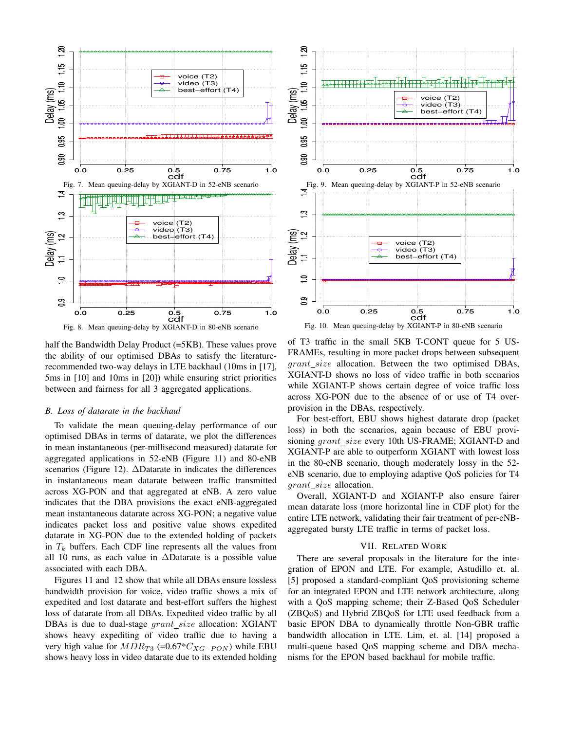



half the Bandwidth Delay Product (=5KB). These values prove the ability of our optimised DBAs to satisfy the literaturerecommended two-way delays in LTE backhaul (10ms in [17], 5ms in [10] and 10ms in [20]) while ensuring strict priorities between and fairness for all 3 aggregated applications.

# *B. Loss of datarate in the backhaul*

To validate the mean queuing-delay performance of our optimised DBAs in terms of datarate, we plot the differences in mean instantaneous (per-millisecond measured) datarate for aggregated applications in 52-eNB (Figure 11) and 80-eNB scenarios (Figure 12). ∆Datarate in indicates the differences in instantaneous mean datarate between traffic transmitted across XG-PON and that aggregated at eNB. A zero value indicates that the DBA provisions the exact eNB-aggregated mean instantaneous datarate across XG-PON; a negative value indicates packet loss and positive value shows expedited datarate in XG-PON due to the extended holding of packets in  $T_k$  buffers. Each CDF line represents all the values from all 10 runs, as each value in ∆Datarate is a possible value associated with each DBA.

Figures 11 and 12 show that while all DBAs ensure lossless bandwidth provision for voice, video traffic shows a mix of expedited and lost datarate and best-effort suffers the highest loss of datarate from all DBAs. Expedited video traffic by all DBAs is due to dual-stage  $grant\_size$  allocation: XGIANT shows heavy expediting of video traffic due to having a very high value for  $MDR_{T3}$  (=0.67\* $C_{XG-PON}$ ) while EBU shows heavy loss in video datarate due to its extended holding

of T3 traffic in the small 5KB T-CONT queue for 5 US-FRAMEs, resulting in more packet drops between subsequent  $grant\_size$  allocation. Between the two optimised DBAs, XGIANT-D shows no loss of video traffic in both scenarios while XGIANT-P shows certain degree of voice traffic loss across XG-PON due to the absence of or use of T4 overprovision in the DBAs, respectively.

For best-effort, EBU shows highest datarate drop (packet loss) in both the scenarios, again because of EBU provisioning grant\_size every 10th US-FRAME; XGIANT-D and XGIANT-P are able to outperform XGIANT with lowest loss in the 80-eNB scenario, though moderately lossy in the 52 eNB scenario, due to employing adaptive QoS policies for T4  $grant\_size$  allocation.

Overall, XGIANT-D and XGIANT-P also ensure fairer mean datarate loss (more horizontal line in CDF plot) for the entire LTE network, validating their fair treatment of per-eNBaggregated bursty LTE traffic in terms of packet loss.

# VII. RELATED WORK

There are several proposals in the literature for the integration of EPON and LTE. For example, Astudillo et. al. [5] proposed a standard-compliant QoS provisioning scheme for an integrated EPON and LTE network architecture, along with a QoS mapping scheme; their Z-Based QoS Scheduler (ZBQoS) and Hybrid ZBQoS for LTE used feedback from a basic EPON DBA to dynamically throttle Non-GBR traffic bandwidth allocation in LTE. Lim, et. al. [14] proposed a multi-queue based QoS mapping scheme and DBA mechanisms for the EPON based backhaul for mobile traffic.